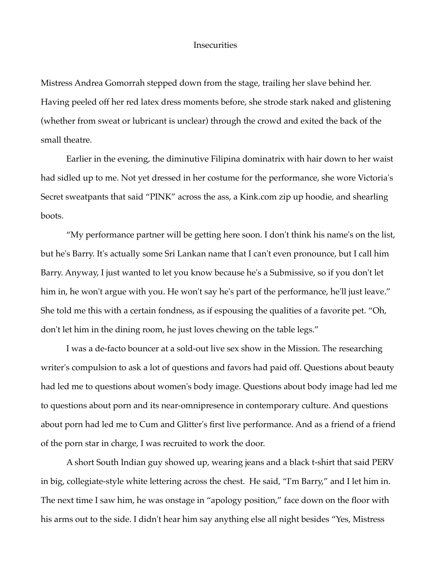## **Insecurities**

Mistress Andrea Gomorrah stepped down from the stage, trailing her slave behind her. Having peeled off her red latex dress moments before, she strode stark naked and glistening (whether from sweat or lubricant is unclear) through the crowd and exited the back of the small theatre.

Earlier in the evening, the diminutive Filipina dominatrix with hair down to her waist had sidled up to me. Not yet dressed in her costume for the performance, she wore Victoria's Secret sweatpants that said "PINK" across the ass, a Kink.com zip up hoodie, and shearling boots.

"My performance partner will be getting here soon. I don't think his name's on the list, but he's Barry. It's actually some Sri Lankan name that I can't even pronounce, but I call him Barry. Anyway, I just wanted to let you know because he's a Submissive, so if you don't let him in, he won't argue with you. He won't say he's part of the performance, he'll just leave." She told me this with a certain fondness, as if espousing the qualities of a favorite pet. "Oh, don't let him in the dining room, he just loves chewing on the table legs."

I was a de-facto bouncer at a sold-out live sex show in the Mission. The researching writer's compulsion to ask a lot of questions and favors had paid off. Questions about beauty had led me to questions about women's body image. Questions about body image had led me to questions about porn and its near-omnipresence in contemporary culture. And questions about porn had led me to Cum and Glitter's first live performance. And as a friend of a friend of the porn star in charge, I was recruited to work the door.

A short South Indian guy showed up, wearing jeans and a black t-shirt that said PERV in big, collegiate-style white lettering across the chest. He said, "I'm Barry," and I let him in. The next time I saw him, he was onstage in "apology position," face down on the floor with his arms out to the side. I didn't hear him say anything else all night besides "Yes, Mistress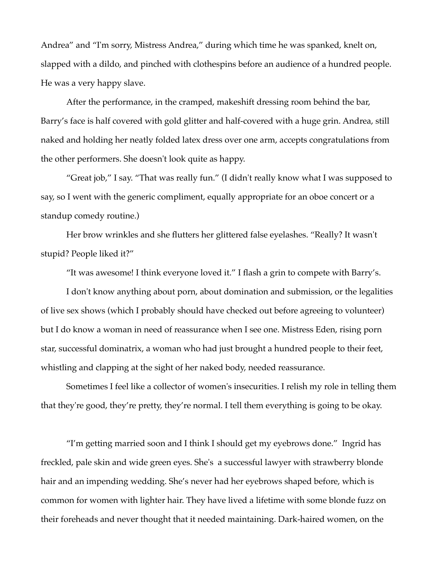Andrea" and "I'm sorry, Mistress Andrea," during which time he was spanked, knelt on, slapped with a dildo, and pinched with clothespins before an audience of a hundred people. He was a very happy slave.

After the performance, in the cramped, makeshift dressing room behind the bar, Barry's face is half covered with gold glitter and half-covered with a huge grin. Andrea, still naked and holding her neatly folded latex dress over one arm, accepts congratulations from the other performers. She doesn't look quite as happy.

"Great job," I say. "That was really fun." (I didn't really know what I was supposed to say, so I went with the generic compliment, equally appropriate for an oboe concert or a standup comedy routine.)

Her brow wrinkles and she flutters her glittered false eyelashes. "Really? It wasn't stupid? People liked it?"

"It was awesome! I think everyone loved it." I flash a grin to compete with Barry's.

I don't know anything about porn, about domination and submission, or the legalities of live sex shows (which I probably should have checked out before agreeing to volunteer) but I do know a woman in need of reassurance when I see one. Mistress Eden, rising porn star, successful dominatrix, a woman who had just brought a hundred people to their feet, whistling and clapping at the sight of her naked body, needed reassurance.

Sometimes I feel like a collector of women's insecurities. I relish my role in telling them that they're good, they're pretty, they're normal. I tell them everything is going to be okay.

"I'm getting married soon and I think I should get my eyebrows done." Ingrid has freckled, pale skin and wide green eyes. She's a successful lawyer with strawberry blonde hair and an impending wedding. She's never had her eyebrows shaped before, which is common for women with lighter hair. They have lived a lifetime with some blonde fuzz on their foreheads and never thought that it needed maintaining. Dark-haired women, on the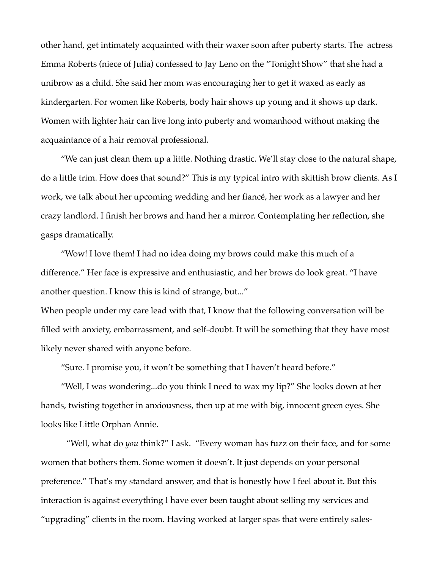other hand, get intimately acquainted with their waxer soon after puberty starts. The actress Emma Roberts (niece of Julia) confessed to Jay Leno on the "Tonight Show" that she had a unibrow as a child. She said her mom was encouraging her to get it waxed as early as kindergarten. For women like Roberts, body hair shows up young and it shows up dark. Women with lighter hair can live long into puberty and womanhood without making the acquaintance of a hair removal professional.

"We can just clean them up a little. Nothing drastic. We'll stay close to the natural shape, do a little trim. How does that sound?" This is my typical intro with skittish brow clients. As I work, we talk about her upcoming wedding and her fiancé, her work as a lawyer and her crazy landlord. I finish her brows and hand her a mirror. Contemplating her reflection, she gasps dramatically.

"Wow! I love them! I had no idea doing my brows could make this much of a difference." Her face is expressive and enthusiastic, and her brows do look great. "I have another question. I know this is kind of strange, but..."

When people under my care lead with that, I know that the following conversation will be filled with anxiety, embarrassment, and self-doubt. It will be something that they have most likely never shared with anyone before.

"Sure. I promise you, it won't be something that I haven't heard before."

"Well, I was wondering...do you think I need to wax my lip?" She looks down at her hands, twisting together in anxiousness, then up at me with big, innocent green eyes. She looks like Little Orphan Annie.

"Well, what do *you* think?" I ask. "Every woman has fuzz on their face, and for some women that bothers them. Some women it doesn't. It just depends on your personal preference." That's my standard answer, and that is honestly how I feel about it. But this interaction is against everything I have ever been taught about selling my services and "upgrading" clients in the room. Having worked at larger spas that were entirely sales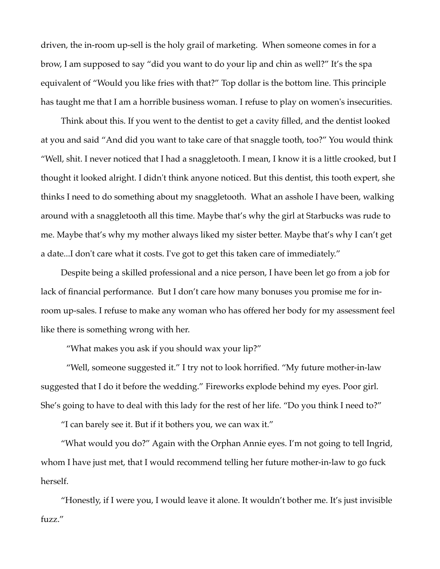driven, the in-room up-sell is the holy grail of marketing. When someone comes in for a brow, I am supposed to say "did you want to do your lip and chin as well?" It's the spa equivalent of "Would you like fries with that?" Top dollar is the bottom line. This principle has taught me that I am a horrible business woman. I refuse to play on women's insecurities.

Think about this. If you went to the dentist to get a cavity filled, and the dentist looked at you and said "And did you want to take care of that snaggle tooth, too?" You would think "Well, shit. I never noticed that I had a snaggletooth. I mean, I know it is a little crooked, but I thought it looked alright. I didn't think anyone noticed. But this dentist, this tooth expert, she thinks I need to do something about my snaggletooth. What an asshole I have been, walking around with a snaggletooth all this time. Maybe that's why the girl at Starbucks was rude to me. Maybe that's why my mother always liked my sister better. Maybe that's why I can't get a date...I don't care what it costs. I've got to get this taken care of immediately."

Despite being a skilled professional and a nice person, I have been let go from a job for lack of financial performance. But I don't care how many bonuses you promise me for inroom up-sales. I refuse to make any woman who has offered her body for my assessment feel like there is something wrong with her.

"What makes you ask if you should wax your lip?"

"Well, someone suggested it." I try not to look horrified. "My future mother-in-law suggested that I do it before the wedding." Fireworks explode behind my eyes. Poor girl. She's going to have to deal with this lady for the rest of her life. "Do you think I need to?"

"I can barely see it. But if it bothers you, we can wax it."

"What would you do?" Again with the Orphan Annie eyes. I'm not going to tell Ingrid, whom I have just met, that I would recommend telling her future mother-in-law to go fuck herself.

"Honestly, if I were you, I would leave it alone. It wouldn't bother me. It's just invisible fuzz."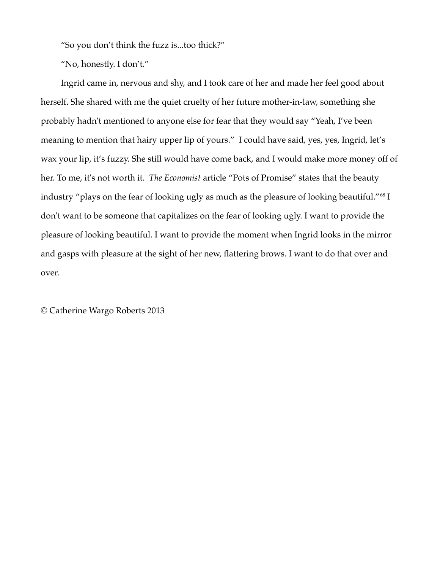"So you don't think the fuzz is...too thick?"

"No, honestly. I don't."

Ingrid came in, nervous and shy, and I took care of her and made her feel good about herself. She shared with me the quiet cruelty of her future mother-in-law, something she probably hadn't mentioned to anyone else for fear that they would say "Yeah, I've been meaning to mention that hairy upper lip of yours." I could have said, yes, yes, Ingrid, let's wax your lip, it's fuzzy. She still would have come back, and I would make more money off of her. To me, it's not worth it. *The Economist* article "Pots of Promise" states that the beauty industry "plays on the fear of looking ugly as much as the pleasure of looking beautiful."<sup>[68](#page-5-0)</sup> I don't want to be someone that capitalizes on the fear of looking ugly. I want to provide the pleasure of looking beautiful. I want to provide the moment when Ingrid looks in the mirror and gasps with pleasure at the sight of her new, flattering brows. I want to do that over and over.

© Catherine Wargo Roberts 2013